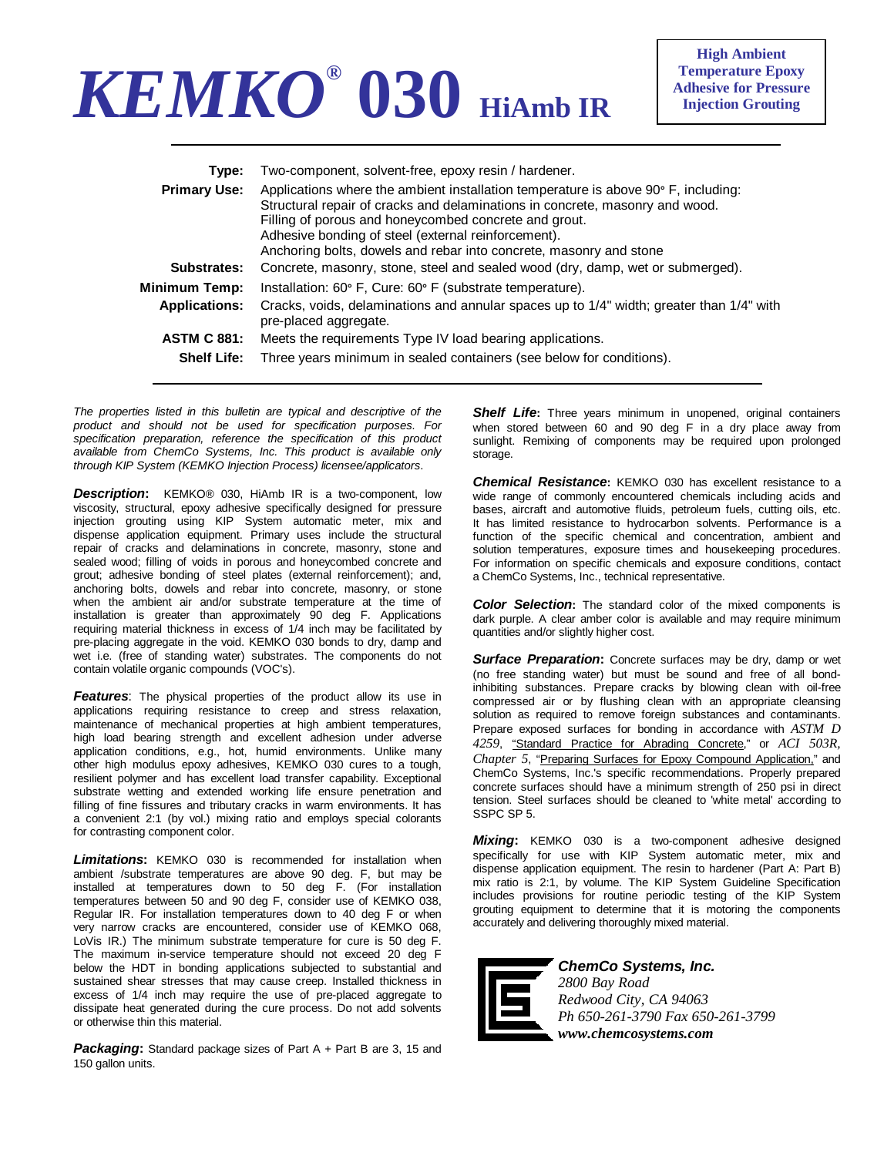## *KEMKO®* **030 HiAmb IR**

**High Ambient Temperature Epoxy Adhesive for Pressure Injection Grouting** 

| Type:<br><b>Primary Use:</b>             | Two-component, solvent-free, epoxy resin / hardener.<br>Applications where the ambient installation temperature is above 90° F, including:<br>Structural repair of cracks and delaminations in concrete, masonry and wood.<br>Filling of porous and honeycombed concrete and grout.<br>Adhesive bonding of steel (external reinforcement).<br>Anchoring bolts, dowels and rebar into concrete, masonry and stone |
|------------------------------------------|------------------------------------------------------------------------------------------------------------------------------------------------------------------------------------------------------------------------------------------------------------------------------------------------------------------------------------------------------------------------------------------------------------------|
| Substrates:                              | Concrete, masonry, stone, steel and sealed wood (dry, damp, wet or submerged).                                                                                                                                                                                                                                                                                                                                   |
| Minimum Temp:                            | Installation: 60° F, Cure: 60° F (substrate temperature).                                                                                                                                                                                                                                                                                                                                                        |
| <b>Applications:</b>                     | Cracks, voids, delaminations and annular spaces up to 1/4" width; greater than 1/4" with<br>pre-placed aggregate.                                                                                                                                                                                                                                                                                                |
| <b>ASTM C 881:</b><br><b>Shelf Life:</b> | Meets the requirements Type IV load bearing applications.<br>Three years minimum in sealed containers (see below for conditions).                                                                                                                                                                                                                                                                                |

*The properties listed in this bulletin are typical and descriptive of the product and should not be used for specification purposes. For specification preparation, reference the specification of this product available from ChemCo Systems, Inc. This product is available only through KIP System (KEMKO Injection Process) licensee/applicators*.

*Description***:** KEMKO® 030, HiAmb IR is a two-component, low viscosity, structural, epoxy adhesive specifically designed for pressure injection grouting using KIP System automatic meter, mix and dispense application equipment. Primary uses include the structural repair of cracks and delaminations in concrete, masonry, stone and sealed wood; filling of voids in porous and honeycombed concrete and grout; adhesive bonding of steel plates (external reinforcement); and, anchoring bolts, dowels and rebar into concrete, masonry, or stone when the ambient air and/or substrate temperature at the time of installation is greater than approximately 90 deg F. Applications requiring material thickness in excess of 1/4 inch may be facilitated by pre-placing aggregate in the void. KEMKO 030 bonds to dry, damp and wet i.e. (free of standing water) substrates. The components do not contain volatile organic compounds (VOC's).

*Features*: The physical properties of the product allow its use in applications requiring resistance to creep and stress relaxation, maintenance of mechanical properties at high ambient temperatures, high load bearing strength and excellent adhesion under adverse application conditions, e.g., hot, humid environments. Unlike many other high modulus epoxy adhesives, KEMKO 030 cures to a tough, resilient polymer and has excellent load transfer capability. Exceptional substrate wetting and extended working life ensure penetration and filling of fine fissures and tributary cracks in warm environments. It has a convenient 2:1 (by vol.) mixing ratio and employs special colorants for contrasting component color.

*Limitations***:** KEMKO 030 is recommended for installation when ambient /substrate temperatures are above 90 deg. F, but may be installed at temperatures down to 50 deg F. (For installation temperatures between 50 and 90 deg F, consider use of KEMKO 038, Regular IR. For installation temperatures down to 40 deg F or when very narrow cracks are encountered, consider use of KEMKO 068, LoVis IR.) The minimum substrate temperature for cure is 50 deg F. The maximum in-service temperature should not exceed 20 deg F below the HDT in bonding applications subjected to substantial and sustained shear stresses that may cause creep. Installed thickness in excess of 1/4 inch may require the use of pre-placed aggregate to dissipate heat generated during the cure process. Do not add solvents or otherwise thin this material.

**Packaging:** Standard package sizes of Part A + Part B are 3, 15 and 150 gallon units.

**Shelf Life:** Three years minimum in unopened, original containers when stored between 60 and 90 deg F in a dry place away from sunlight. Remixing of components may be required upon prolonged storage.

*Chemical Resistance***:** KEMKO 030 has excellent resistance to a wide range of commonly encountered chemicals including acids and bases, aircraft and automotive fluids, petroleum fuels, cutting oils, etc. It has limited resistance to hydrocarbon solvents. Performance is a function of the specific chemical and concentration, ambient and solution temperatures, exposure times and housekeeping procedures. For information on specific chemicals and exposure conditions, contact a ChemCo Systems, Inc., technical representative.

**Color Selection:** The standard color of the mixed components is dark purple. A clear amber color is available and may require minimum quantities and/or slightly higher cost.

**Surface Preparation:** Concrete surfaces may be dry, damp or wet (no free standing water) but must be sound and free of all bondinhibiting substances. Prepare cracks by blowing clean with oil-free compressed air or by flushing clean with an appropriate cleansing solution as required to remove foreign substances and contaminants. Prepare exposed surfaces for bonding in accordance with *ASTM D 4259*, "Standard Practice for Abrading Concrete," or *ACI 503R, Chapter 5*, "Preparing Surfaces for Epoxy Compound Application," and ChemCo Systems, Inc.'s specific recommendations. Properly prepared concrete surfaces should have a minimum strength of 250 psi in direct tension. Steel surfaces should be cleaned to 'white metal' according to SSPC SP 5.

*Mixing***:** KEMKO 030 is a two-component adhesive designed specifically for use with KIP System automatic meter, mix and dispense application equipment. The resin to hardener (Part A: Part B) mix ratio is 2:1, by volume. The KIP System Guideline Specification includes provisions for routine periodic testing of the KIP System grouting equipment to determine that it is motoring the components accurately and delivering thoroughly mixed material.



*ChemCo Systems, Inc. 2800 Bay Road Redwood City, CA 94063 Ph 650-261-3790 Fax 650-261-3799 www.chemcosystems.com*